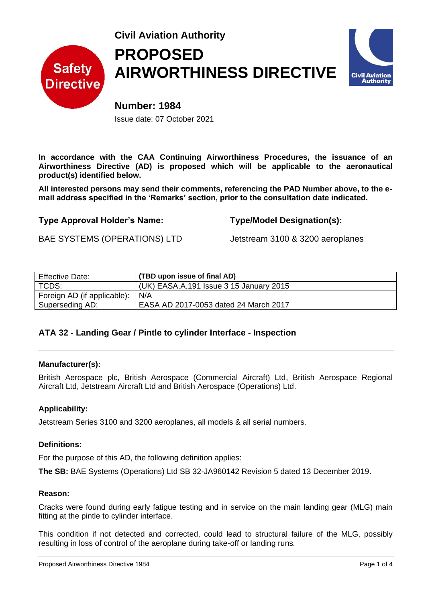



**Number: 1984** Issue date: 07 October 2021

**In accordance with the CAA Continuing Airworthiness Procedures, the issuance of an Airworthiness Directive (AD) is proposed which will be applicable to the aeronautical product(s) identified below.** 

**All interested persons may send their comments, referencing the PAD Number above, to the email address specified in the 'Remarks' section, prior to the consultation date indicated.**

**Type Approval Holder's Name: Type/Model Designation(s):**

BAE SYSTEMS (OPERATIONS) LTD Jetstream 3100 & 3200 aeroplanes

| <b>Effective Date:</b>      | (TBD upon issue of final AD)            |
|-----------------------------|-----------------------------------------|
| TCDS:                       | (UK) EASA.A.191 Issue 3 15 January 2015 |
| Foreign AD (if applicable): | N/A                                     |
| Superseding AD:             | EASA AD 2017-0053 dated 24 March 2017   |

# **ATA 32 - Landing Gear / Pintle to cylinder Interface - Inspection**

## **Manufacturer(s):**

British Aerospace plc, British Aerospace (Commercial Aircraft) Ltd, British Aerospace Regional Aircraft Ltd, Jetstream Aircraft Ltd and British Aerospace (Operations) Ltd.

## **Applicability:**

Jetstream Series 3100 and 3200 aeroplanes, all models & all serial numbers.

#### **Definitions:**

For the purpose of this AD, the following definition applies:

**The SB:** BAE Systems (Operations) Ltd SB 32-JA960142 Revision 5 dated 13 December 2019.

#### **Reason:**

Cracks were found during early fatigue testing and in service on the main landing gear (MLG) main fitting at the pintle to cylinder interface.

This condition if not detected and corrected, could lead to structural failure of the MLG, possibly resulting in loss of control of the aeroplane during take-off or landing runs*.*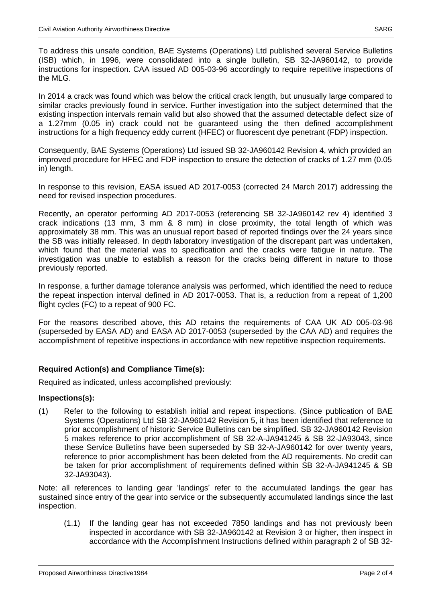To address this unsafe condition, BAE Systems (Operations) Ltd published several Service Bulletins (ISB) which, in 1996, were consolidated into a single bulletin, SB 32-JA960142, to provide instructions for inspection. CAA issued AD 005-03-96 accordingly to require repetitive inspections of the MLG.

In 2014 a crack was found which was below the critical crack length, but unusually large compared to similar cracks previously found in service. Further investigation into the subject determined that the existing inspection intervals remain valid but also showed that the assumed detectable defect size of a 1.27mm (0.05 in) crack could not be guaranteed using the then defined accomplishment instructions for a high frequency eddy current (HFEC) or fluorescent dye penetrant (FDP) inspection.

Consequently, BAE Systems (Operations) Ltd issued SB 32-JA960142 Revision 4, which provided an improved procedure for HFEC and FDP inspection to ensure the detection of cracks of 1.27 mm (0.05 in) length.

In response to this revision, EASA issued AD 2017-0053 (corrected 24 March 2017) addressing the need for revised inspection procedures.

Recently, an operator performing AD 2017-0053 (referencing SB 32-JA960142 rev 4) identified 3 crack indications (13 mm, 3 mm & 8 mm) in close proximity, the total length of which was approximately 38 mm. This was an unusual report based of reported findings over the 24 years since the SB was initially released. In depth laboratory investigation of the discrepant part was undertaken, which found that the material was to specification and the cracks were fatigue in nature. The investigation was unable to establish a reason for the cracks being different in nature to those previously reported.

In response, a further damage tolerance analysis was performed, which identified the need to reduce the repeat inspection interval defined in AD 2017-0053. That is, a reduction from a repeat of 1,200 flight cycles (FC) to a repeat of 900 FC.

For the reasons described above, this AD retains the requirements of CAA UK AD 005-03-96 (superseded by EASA AD) and EASA AD 2017-0053 (superseded by the CAA AD) and requires the accomplishment of repetitive inspections in accordance with new repetitive inspection requirements.

## **Required Action(s) and Compliance Time(s):**

Required as indicated, unless accomplished previously:

## **Inspections(s):**

(1) Refer to the following to establish initial and repeat inspections. (Since publication of BAE Systems (Operations) Ltd SB 32-JA960142 Revision 5, it has been identified that reference to prior accomplishment of historic Service Bulletins can be simplified. SB 32-JA960142 Revision 5 makes reference to prior accomplishment of SB 32-A-JA941245 & SB 32-JA93043, since these Service Bulletins have been superseded by SB 32-A-JA960142 for over twenty years, reference to prior accomplishment has been deleted from the AD requirements. No credit can be taken for prior accomplishment of requirements defined within SB 32-A-JA941245 & SB 32-JA93043).

Note: all references to landing gear 'landings' refer to the accumulated landings the gear has sustained since entry of the gear into service or the subsequently accumulated landings since the last inspection.

(1.1) If the landing gear has not exceeded 7850 landings and has not previously been inspected in accordance with SB 32-JA960142 at Revision 3 or higher, then inspect in accordance with the Accomplishment Instructions defined within paragraph 2 of SB 32-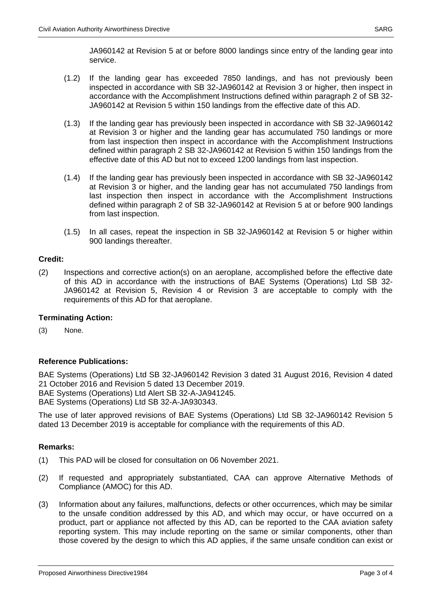- (1.2) If the landing gear has exceeded 7850 landings, and has not previously been inspected in accordance with SB 32-JA960142 at Revision 3 or higher, then inspect in accordance with the Accomplishment Instructions defined within paragraph 2 of SB 32- JA960142 at Revision 5 within 150 landings from the effective date of this AD.
- (1.3) If the landing gear has previously been inspected in accordance with SB 32-JA960142 at Revision 3 or higher and the landing gear has accumulated 750 landings or more from last inspection then inspect in accordance with the Accomplishment Instructions defined within paragraph 2 SB 32-JA960142 at Revision 5 within 150 landings from the effective date of this AD but not to exceed 1200 landings from last inspection.
- (1.4) If the landing gear has previously been inspected in accordance with SB 32-JA960142 at Revision 3 or higher, and the landing gear has not accumulated 750 landings from last inspection then inspect in accordance with the Accomplishment Instructions defined within paragraph 2 of SB 32-JA960142 at Revision 5 at or before 900 landings from last inspection.
- (1.5) In all cases, repeat the inspection in SB 32-JA960142 at Revision 5 or higher within 900 landings thereafter.

#### **Credit:**

(2) Inspections and corrective action(s) on an aeroplane, accomplished before the effective date of this AD in accordance with the instructions of BAE Systems (Operations) Ltd SB 32- JA960142 at Revision 5, Revision 4 or Revision 3 are acceptable to comply with the requirements of this AD for that aeroplane.

## **Terminating Action:**

(3) None.

## **Reference Publications:**

BAE Systems (Operations) Ltd SB 32-JA960142 Revision 3 dated 31 August 2016, Revision 4 dated 21 October 2016 and Revision 5 dated 13 December 2019. BAE Systems (Operations) Ltd Alert SB 32-A-JA941245. BAE Systems (Operations) Ltd SB 32-A-JA930343.

The use of later approved revisions of BAE Systems (Operations) Ltd SB 32-JA960142 Revision 5 dated 13 December 2019 is acceptable for compliance with the requirements of this AD.

## **Remarks:**

- (1) This PAD will be closed for consultation on 06 November 2021.
- (2) If requested and appropriately substantiated, CAA can approve Alternative Methods of Compliance (AMOC) for this AD.
- (3) Information about any failures, malfunctions, defects or other occurrences, which may be similar to the unsafe condition addressed by this AD, and which may occur, or have occurred on a product, part or appliance not affected by this AD, can be reported to the CAA aviation safety reporting system. This may include reporting on the same or similar components, other than those covered by the design to which this AD applies, if the same unsafe condition can exist or